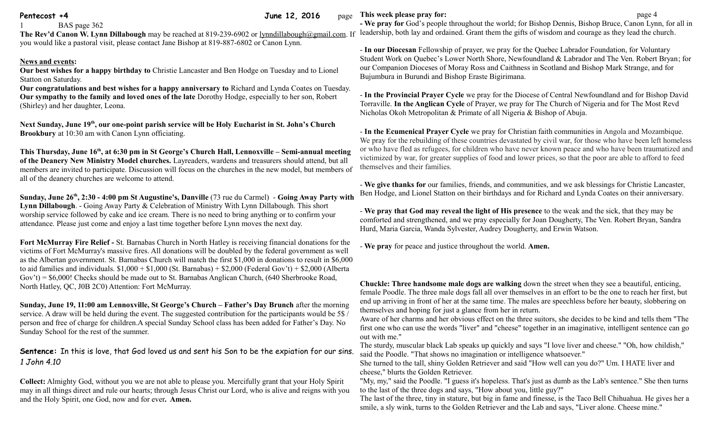## **Pentecost +4 June 12, 2016** page

BAS page 362

The Rev'd Canon W. Lynn Dillabough may be reached at 819-239-6902 or [lynndillabough@gmail.com.](mailto:lynndillabough@gmail.com) If leadership, both lay and ordained. Grant them the gifts of wisdom and courage as they lead the church. you would like a pastoral visit, please contact Jane Bishop at 819-887-6802 or Canon Lynn.

## **News and events:**

**Our best wishes for a happy birthday to** Christie Lancaster and Ben Hodge on Tuesday and to Lionel Statton on Saturday.

**Our congratulations and best wishes for a happy anniversary to** Richard and Lynda Coates on Tuesday. **Our sympathy to the family and loved ones of the late** Dorothy Hodge, especially to her son, Robert (Shirley) and her daughter, Leona.

**Next Sunday, June 19th, our one-point parish service will be Holy Eucharist in St. John's Church Brookbury** at 10:30 am with Canon Lynn officiating.

**This Thursday, June 16th, at 6:30 pm in St George's Church Hall, Lennoxville – Semi-annual meeting of the Deanery New Ministry Model churches.** Layreaders, wardens and treasurers should attend, but all members are invited to participate. Discussion will focus on the churches in the new model, but members of all of the deanery churches are welcome to attend.

**Sunday, June 26th, 2:30 - 4:00 pm St Augustine's, Danville** (73 rue du Carmel) - **Going Away Party with Lynn Dillabough**. - Going Away Party & Celebration of Ministry With Lynn Dillabough. This short worship service followed by cake and ice cream. There is no need to bring anything or to confirm your attendance. Please just come and enjoy a last time together before Lynn moves the next day.

**Fort McMurray Fire Relief -** St. Barnabas Church in North Hatley is receiving financial donations for the victims of Fort McMurray's massive fires. All donations will be doubled by the federal government as well as the Albertan government. St. Barnabas Church will match the first \$1,000 in donations to result in \$6,000 to aid families and individuals.  $$1,000 + $1,000$  (St. Barnabas) +  $$2,000$  (Federal Gov't) +  $$2,000$  (Alberta Gov't) = \$6,000! Checks should be made out to St. Barnabas Anglican Church, (640 Sherbrooke Road, North Hatley, QC, J0B 2C0) Attention: Fort McMurray.

**Sunday, June 19, 11:00 am Lennoxville, St George's Church – Father's Day Brunch** after the morning service. A draw will be held during the event. The suggested contribution for the participants would be 5\$ / person and free of charge for children.A special Sunday School class has been added for Father's Day. No Sunday School for the rest of the summer.

**Sentence:** In this is love, that God loved us and sent his Son to be the expiation for our sins. *1 John 4.10*

**Collect:** Almighty God, without you we are not able to please you. Mercifully grant that your Holy Spirit may in all things direct and rule our hearts; through Jesus Christ our Lord, who is alive and reigns with you and the Holy Spirit, one God, now and for ever**. Amen.**

**This week please pray for: page 4** 

**- We pray for** God's people throughout the world; for Bishop Dennis, Bishop Bruce, Canon Lynn, for all in

- **In our Diocesan** Fellowship of prayer, we pray for the Quebec Labrador Foundation, for Voluntary Student Work on Quebec's Lower North Shore, Newfoundland & Labrador and The Ven. Robert Bryan; for our Companion Dioceses of Moray Ross and Caithness in Scotland and Bishop Mark Strange, and for Bujumbura in Burundi and Bishop Eraste Bigirimana.

- **In the Provincial Prayer Cycle** we pray for the Diocese of Central Newfoundland and for Bishop David Torraville. **In the Anglican Cycle** of Prayer, we pray for The Church of Nigeria and for The Most Revd Nicholas Okoh Metropolitan & Primate of all Nigeria & Bishop of Abuja.

- **In the Ecumenical Prayer Cycle** we pray for Christian faith communities in Angola and Mozambique. We pray for the rebuilding of these countries devastated by civil war, for those who have been left homeless or who have fled as refugees, for children who have never known peace and who have been traumatized and victimized by war, for greater supplies of food and lower prices, so that the poor are able to afford to feed themselves and their families.

- **We give thanks for** our families, friends, and communities, and we ask blessings for Christie Lancaster, Ben Hodge, and Lionel Statton on their birthdays and for Richard and Lynda Coates on their anniversary.

- **We pray that God may reveal the light of His presence** to the weak and the sick, that they may be comforted and strengthened, and we pray especially for Joan Dougherty, The Ven. Robert Bryan, Sandra Hurd, Maria Garcia, Wanda Sylvester, Audrey Dougherty, and Erwin Watson.

- **We pray** for peace and justice throughout the world. **Amen.**

**Chuckle: Three handsome male dogs are walking** down the street when they see a beautiful, enticing, female Poodle. The three male dogs fall all over themselves in an effort to be the one to reach her first, but end up arriving in front of her at the same time. The males are speechless before her beauty, slobbering on themselves and hoping for just a glance from her in return.

Aware of her charms and her obvious effect on the three suitors, she decides to be kind and tells them "The first one who can use the words "liver" and "cheese" together in an imaginative, intelligent sentence can go out with me."

The sturdy, muscular black Lab speaks up quickly and says "I love liver and cheese." "Oh, how childish," said the Poodle. "That shows no imagination or intelligence whatsoever."

She turned to the tall, shiny Golden Retriever and said "How well can you do?" Um. I HATE liver and cheese," blurts the Golden Retriever.

"My, my," said the Poodle. "I guess it's hopeless. That's just as dumb as the Lab's sentence." She then turns to the last of the three dogs and says, "How about you, little guy?"

The last of the three, tiny in stature, but big in fame and finesse, is the Taco Bell Chihuahua. He gives her a smile, a sly wink, turns to the Golden Retriever and the Lab and says, "Liver alone. Cheese mine."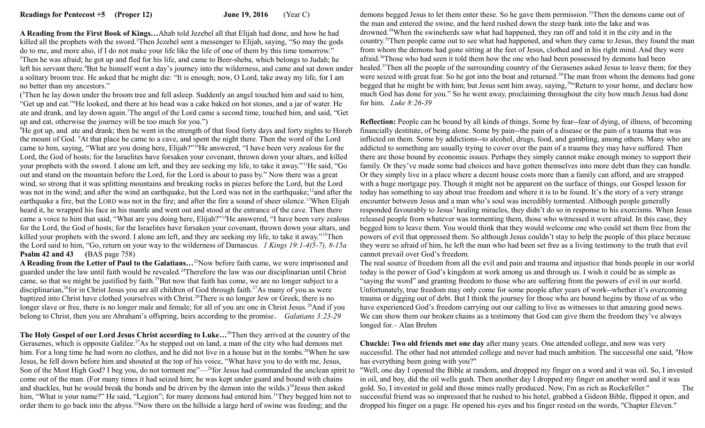**A Reading from the First Book of Kings…**Ahab told Jezebel all that Elijah had done, and how he had killed all the prophets with the sword.<sup>2</sup>Then Jezebel sent a messenger to Elijah, saying, "So may the gods do to me, and more also, if I do not make your life like the life of one of them by this time tomorrow." <sup>3</sup>Then he was afraid; he got up and fled for his life, and came to Beer-sheba, which belongs to Judah; he left his servant there.<sup>4</sup>But he himself went a day's journey into the wilderness, and came and sat down under a solitary broom tree. He asked that he might die: "It is enough; now, O Lord, take away my life, for I am no better than my ancestors."

( <sup>5</sup>Then he lay down under the broom tree and fell asleep. Suddenly an angel touched him and said to him, "Get up and eat."<sup>6</sup>He looked, and there at his head was a cake baked on hot stones, and a jar of water. He ate and drank, and lay down again.<sup>7</sup>The angel of the Lord came a second time, touched him, and said, "Get up and eat, otherwise the journey will be too much for you.")

<sup>8</sup>He got up, and ate and drank; then he went in the strength of that food forty days and forty nights to Horeb the mount of God. <sup>9</sup>At that place he came to a cave, and spent the night there. Then the word of the Lord came to him, saying, "What are you doing here, Elijah?"<sup>10</sup>He answered, "I have been very zealous for the Lord, the God of hosts; for the Israelites have forsaken your covenant, thrown down your altars, and killed your prophets with the sword. I alone am left, and they are seeking my life, to take it away."<sup>11</sup>He said, "Go out and stand on the mountain before the Lord, for the Lord is about to pass by." Now there was a great wind, so strong that it was splitting mountains and breaking rocks in pieces before the Lord, but the Lord was not in the wind; and after the wind an earthquake, but the Lord was not in the earthquake;<sup>12</sup>and after the earthquake a fire, but the LORD was not in the fire; and after the fire a sound of sheer silence.<sup>13</sup>When Elijah heard it, he wrapped his face in his mantle and went out and stood at the entrance of the cave. Then there came a voice to him that said, "What are you doing here, Elijah?"<sup>14</sup>He answered, "I have been very zealous for the Lord, the God of hosts; for the Israelites have forsaken your covenant, thrown down your altars, and killed your prophets with the sword. I alone am left, and they are seeking my life, to take it away."<sup>15</sup>Then the Lord said to him, "Go, return on your way to the wilderness of Damascus. *1 Kings 19:1-4(5-7), 8-15a*  **Psalm 42 and 43 (**BAS page 758)

**A Reading from the Letter of Paul to the Galatians…**<sup>23</sup>Now before faith came, we were imprisoned and guarded under the law until faith would be revealed.<sup>24</sup>Therefore the law was our disciplinarian until Christ came, so that we might be justified by faith.<sup>25</sup>But now that faith has come, we are no longer subject to a disciplinarian,<sup>26</sup>for in Christ Jesus you are all children of God through faith.<sup>27</sup>As many of you as were baptized into Christ have clothed yourselves with Christ.<sup>28</sup>There is no longer Jew or Greek, there is no longer slave or free, there is no longer male and female; for all of you are one in Christ Jesus.<sup>29</sup>And if you belong to Christ, then you are Abraham's offspring, heirs according to the promise. *Galatians 3:23-29*

**The Holy Gospel of our Lord Jesus Christ according to Luke…**<sup>26</sup>Then they arrived at the country of the Gerasenes, which is opposite Galilee.<sup>27</sup>As he stepped out on land, a man of the city who had demons met him. For a long time he had worn no clothes, and he did not live in a house but in the tombs.<sup>28</sup>When he saw Jesus, he fell down before him and shouted at the top of his voice, "What have you to do with me, Jesus, Son of the Most High God? I beg you, do not torment me" $-$ <sup>29</sup>for Jesus had commanded the unclean spirit to come out of the man. (For many times it had seized him; he was kept under guard and bound with chains and shackles, but he would break the bonds and be driven by the demon into the wilds.)<sup>30</sup>Jesus then asked him, "What is your name?" He said, "Legion"; for many demons had entered him.<sup>31</sup>They begged him not to order them to go back into the abyss.<sup>32</sup>Now there on the hillside a large herd of swine was feeding; and the

demons begged Jesus to let them enter these. So he gave them permission.<sup>33</sup>Then the demons came out of the man and entered the swine, and the herd rushed down the steep bank into the lake and was drowned.<sup>34</sup>When the swineherds saw what had happened, they ran off and told it in the city and in the country.<sup>35</sup>Then people came out to see what had happened, and when they came to Jesus, they found the man from whom the demons had gone sitting at the feet of Jesus, clothed and in his right mind. And they were afraid.<sup>36</sup>Those who had seen it told them how the one who had been possessed by demons had been healed.<sup>37</sup>Then all the people of the surrounding country of the Gerasenes asked Jesus to leave them; for they were seized with great fear. So he got into the boat and returned.<sup>38</sup>The man from whom the demons had gone begged that he might be with him; but Jesus sent him away, saying,<sup>39"</sup>Return to your home, and declare how much God has done for you." So he went away, proclaiming throughout the city how much Jesus had done for him. *Luke 8:26-39*

**Reflection:** People can be bound by all kinds of things. Some by fear--fear of dying, of illness, of becoming financially destitute, of being alone. Some by pain--the pain of a disease or the pain of a trauma that was inflicted on them. Some by addictions--to alcohol, drugs, food, and gambling, among others. Many who are addicted to something are usually trying to cover over the pain of a trauma they may have suffered. Then there are those bound by economic issues. Perhaps they simply cannot make enough money to support their family. Or they've made some bad choices and have gotten themselves into more debt than they can handle. Or they simply live in a place where a decent house costs more than a family can afford, and are strapped with a huge mortgage pay. Though it might not be apparent on the surface of things, our Gospel lesson for today has something to say about true freedom and where it is to be found. It's the story of a very strange encounter between Jesus and a man who's soul was incredibly tormented. Although people generally responded favourably to Jesus' healing miracles, they didn't do so in response to his exorcisms. When Jesus released people from whatever was tormenting them, those who witnessed it were afraid. In this case, they begged him to leave them. You would think that they would welcome one who could set them free from the powers of evil that oppressed them. So although Jesus couldn't stay to help the people of this place because they were so afraid of him, he left the man who had been set free as a living testimony to the truth that evil cannot prevail over God's freedom.

The real source of freedom from all the evil and pain and trauma and injustice that binds people in our world today is the power of God's kingdom at work among us and through us. I wish it could be as simple as "saying the word" and granting freedom to those who are suffering from the powers of evil in our world. Unfortunately, true freedom may only come for some people after years of work--whether it's overcoming trauma or digging out of debt. But I think the journey for those who are bound begins by those of us who have experienced God's freedom carrying out our calling to live as witnesses to that amazing good news. We can show them our broken chains as a testimony that God can give them the freedom they've always longed for.– Alan Brehm

**Chuckle: Two old friends met one day** after many years. One attended college, and now was very successful. The other had not attended college and never had much ambition. The successful one said, "How has everything been going with you?"

"Well, one day I opened the Bible at random, and dropped my finger on a word and it was oil. So, I invested in oil, and boy, did the oil wells gush. Then another day I dropped my finger on another word and it was gold. So, I invested in gold and those mines really produced. Now, I'm as rich as Rockefeller." The successful friend was so impressed that he rushed to his hotel, grabbed a Gideon Bible, flipped it open, and dropped his finger on a page. He opened his eyes and his finger rested on the words, "Chapter Eleven."